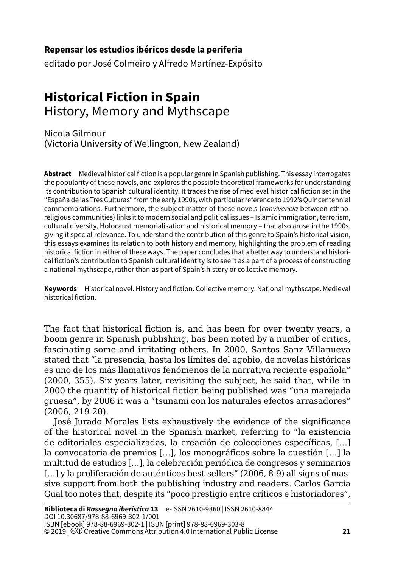## **Repensar los estudios ibéricos desde la periferia**

editado por José Colmeiro y Alfredo Martínez-Expósito

## **Historical Fiction in Spain** History, Memory and Mythscape

Nicola Gilmour (Victoria University of Wellington, New Zealand)

**Abstract** Medieval historical fiction is a popular genre in Spanish publishing. This essay interrogates the popularity of these novels, and explores the possible theoretical frameworks for understanding its contribution to Spanish cultural identity. It traces the rise of medieval historical fiction set in the "España de las Tres Culturas" from the early 1990s, with particular reference to 1992's Quincentennial commemorations. Furthermore, the subject matter of these novels (*convivencia* between ethnoreligious communities) links it to modern social and political issues – Islamic immigration, terrorism, cultural diversity, Holocaust memorialisation and historical memory – that also arose in the 1990s, giving it special relevance. To understand the contribution of this genre to Spain's historical vision, this essays examines its relation to both history and memory, highlighting the problem of reading historical fiction in either of these ways. The paper concludes that a better way to understand historical fiction's contribution to Spanish cultural identity is to see it as a part of a process of constructing a national mythscape, rather than as part of Spain's history or collective memory.

**Keywords** Historical novel. History and fiction. Collective memory. National mythscape. Medieval historical fiction.

The fact that historical fiction is, and has been for over twenty years, a boom genre in Spanish publishing, has been noted by a number of critics, fascinating some and irritating others. In 2000, Santos Sanz Villanueva stated that "la presencia, hasta los límites del agobio, de novelas históricas es uno de los más llamativos fenómenos de la narrativa reciente española" (2000, 355). Six years later, revisiting the subject, he said that, while in 2000 the quantity of historical fiction being published was "una marejada gruesa", by 2006 it was a "tsunami con los naturales efectos arrasadores" (2006, 219-20).

José Jurado Morales lists exhaustively the evidence of the significance of the historical novel in the Spanish market, referring to "la existencia de editoriales especializadas, la creación de colecciones específicas, […] la convocatoria de premios […], los monográficos sobre la cuestión […] la multitud de estudios […], la celebración periódica de congresos y seminarios [...] y la proliferación de auténticos best-sellers" (2006, 8-9) all signs of massive support from both the publishing industry and readers. Carlos García Gual too notes that, despite its "poco prestigio entre críticos e historiadores",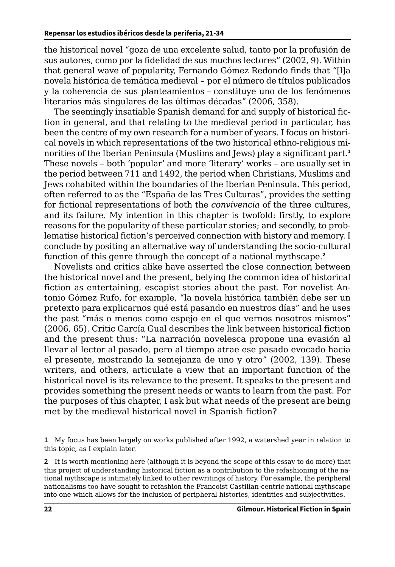the historical novel "goza de una excelente salud, tanto por la profusión de sus autores, como por la fidelidad de sus muchos lectores" (2002, 9). Within that general wave of popularity, Fernando Gómez Redondo finds that "[l]a novela histórica de temática medieval – por el número de títulos publicados y la coherencia de sus planteamientos – constituye uno de los fenómenos literarios más singulares de las últimas décadas" (2006, 358).

The seemingly insatiable Spanish demand for and supply of historical fiction in general, and that relating to the medieval period in particular, has been the centre of my own research for a number of years. I focus on historical novels in which representations of the two historical ethno-religious minorities of the Iberian Peninsula (Muslims and Jews) play a significant part.**<sup>1</sup>** These novels – both 'popular' and more 'literary' works – are usually set in the period between 711 and 1492, the period when Christians, Muslims and Jews cohabited within the boundaries of the Iberian Peninsula. This period, often referred to as the "España de las Tres Culturas", provides the setting for fictional representations of both the *convivencia* of the three cultures, and its failure. My intention in this chapter is twofold: firstly, to explore reasons for the popularity of these particular stories; and secondly, to problematise historical fiction's perceived connection with history and memory. I conclude by positing an alternative way of understanding the socio-cultural function of this genre through the concept of a national mythscape.**<sup>2</sup>**

Novelists and critics alike have asserted the close connection between the historical novel and the present, belying the common idea of historical fiction as entertaining, escapist stories about the past. For novelist Antonio Gómez Rufo, for example, "la novela histórica también debe ser un pretexto para explicarnos qué está pasando en nuestros días" and he uses the past "más o menos como espejo en el que vernos nosotros mismos" (2006, 65). Critic García Gual describes the link between historical fiction and the present thus: "La narración novelesca propone una evasión al llevar al lector al pasado, pero al tiempo atrae ese pasado evocado hacia el presente, mostrando la semejanza de uno y otro" (2002, 139). These writers, and others, articulate a view that an important function of the historical novel is its relevance to the present. It speaks to the present and provides something the present needs or wants to learn from the past. For the purposes of this chapter, I ask but what needs of the present are being met by the medieval historical novel in Spanish fiction?

**1** My focus has been largely on works published after 1992, a watershed year in relation to this topic, as I explain later.

**2** It is worth mentioning here (although it is beyond the scope of this essay to do more) that this project of understanding historical fiction as a contribution to the refashioning of the national mythscape is intimately linked to other rewritings of history. For example, the peripheral nationalisms too have sought to refashion the Francoist Castilian-centric national mythscape into one which allows for the inclusion of peripheral histories, identities and subjectivities.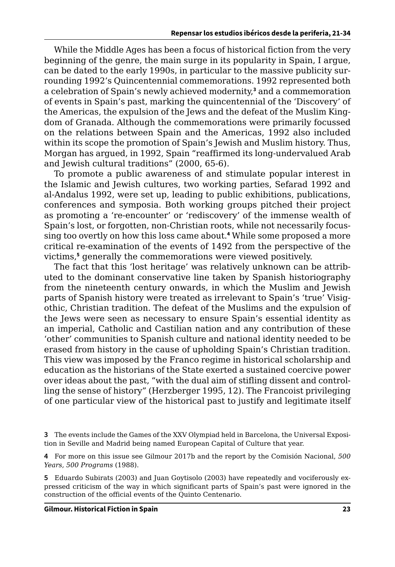While the Middle Ages has been a focus of historical fiction from the very beginning of the genre, the main surge in its popularity in Spain, I argue, can be dated to the early 1990s, in particular to the massive publicity surrounding 1992's Quincentennial commemorations. 1992 represented both a celebration of Spain's newly achieved modernity,**<sup>3</sup>** and a commemoration of events in Spain's past, marking the quincentennial of the 'Discovery' of the Americas, the expulsion of the Jews and the defeat of the Muslim Kingdom of Granada. Although the commemorations were primarily focussed on the relations between Spain and the Americas, 1992 also included within its scope the promotion of Spain's Jewish and Muslim history. Thus, Morgan has argued, in 1992, Spain "reaffirmed its long-undervalued Arab and Jewish cultural traditions" (2000, 65-6).

To promote a public awareness of and stimulate popular interest in the Islamic and Jewish cultures, two working parties, Sefarad 1992 and al-Andalus 1992, were set up, leading to public exhibitions, publications, conferences and symposia. Both working groups pitched their project as promoting a 're-encounter' or 'rediscovery' of the immense wealth of Spain's lost, or forgotten, non-Christian roots, while not necessarily focussing too overtly on how this loss came about.**<sup>4</sup>** While some proposed a more critical re-examination of the events of 1492 from the perspective of the victims,**<sup>5</sup>** generally the commemorations were viewed positively.

The fact that this 'lost heritage' was relatively unknown can be attributed to the dominant conservative line taken by Spanish historiography from the nineteenth century onwards, in which the Muslim and Jewish parts of Spanish history were treated as irrelevant to Spain's 'true' Visigothic, Christian tradition. The defeat of the Muslims and the expulsion of the Jews were seen as necessary to ensure Spain's essential identity as an imperial, Catholic and Castilian nation and any contribution of these 'other' communities to Spanish culture and national identity needed to be erased from history in the cause of upholding Spain's Christian tradition. This view was imposed by the Franco regime in historical scholarship and education as the historians of the State exerted a sustained coercive power over ideas about the past, "with the dual aim of stifling dissent and controlling the sense of history" (Herzberger 1995, 12). The Francoist privileging of one particular view of the historical past to justify and legitimate itself

**<sup>3</sup>** The events include the Games of the XXV Olympiad held in Barcelona, the Universal Exposition in Seville and Madrid being named European Capital of Culture that year.

**<sup>4</sup>** For more on this issue see Gilmour 2017b and the report by the Comisión Nacional, *500 Years, 500 Programs* (1988).

**<sup>5</sup>** Eduardo Subirats (2003) and Juan Goytisolo (2003) have repeatedly and vociferously expressed criticism of the way in which significant parts of Spain's past were ignored in the construction of the official events of the Quinto Centenario.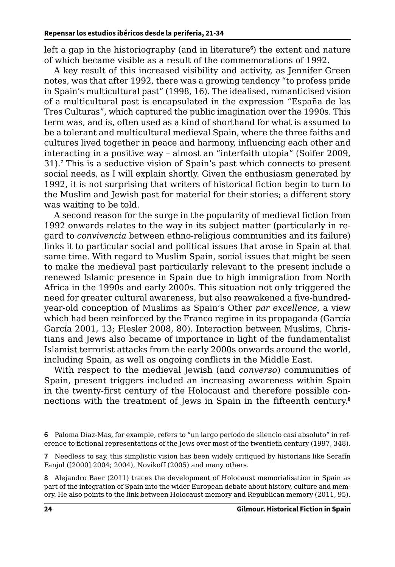left a gap in the historiography (and in literature**<sup>6</sup>** ) the extent and nature of which became visible as a result of the commemorations of 1992.

A key result of this increased visibility and activity, as Jennifer Green notes, was that after 1992, there was a growing tendency "to profess pride in Spain's multicultural past" (1998, 16). The idealised, romanticised vision of a multicultural past is encapsulated in the expression "España de las Tres Culturas", which captured the public imagination over the 1990s. This term was, and is, often used as a kind of shorthand for what is assumed to be a tolerant and multicultural medieval Spain, where the three faiths and cultures lived together in peace and harmony, influencing each other and interacting in a positive way – almost an "interfaith utopia" (Soifer 2009, 31).**<sup>7</sup>** This is a seductive vision of Spain's past which connects to present social needs, as I will explain shortly. Given the enthusiasm generated by 1992, it is not surprising that writers of historical fiction begin to turn to the Muslim and Jewish past for material for their stories; a different story was waiting to be told.

A second reason for the surge in the popularity of medieval fiction from 1992 onwards relates to the way in its subject matter (particularly in regard to *convivencia* between ethno-religious communities and its failure) links it to particular social and political issues that arose in Spain at that same time. With regard to Muslim Spain, social issues that might be seen to make the medieval past particularly relevant to the present include a renewed Islamic presence in Spain due to high immigration from North Africa in the 1990s and early 2000s. This situation not only triggered the need for greater cultural awareness, but also reawakened a five-hundredyear-old conception of Muslims as Spain's Other *par excellence*, a view which had been reinforced by the Franco regime in its propaganda (García García 2001, 13; Flesler 2008, 80). Interaction between Muslims, Christians and Jews also became of importance in light of the fundamentalist Islamist terrorist attacks from the early 2000s onwards around the world, including Spain, as well as ongoing conflicts in the Middle East.

With respect to the medieval Jewish (and *converso*) communities of Spain, present triggers included an increasing awareness within Spain in the twenty-first century of the Holocaust and therefore possible connections with the treatment of Jews in Spain in the fifteenth century.**<sup>8</sup>**

**<sup>6</sup>** Paloma Díaz-Mas, for example, refers to "un largo período de silencio casi absoluto" in reference to fictional representations of the Jews over most of the twentieth century (1997, 348).

**<sup>7</sup>** Needless to say, this simplistic vision has been widely critiqued by historians like Serafín Fanjul ([2000] 2004; 2004), Novikoff (2005) and many others.

**<sup>8</sup>** Alejandro Baer (2011) traces the development of Holocaust memorialisation in Spain as part of the integration of Spain into the wider European debate about history, culture and memory. He also points to the link between Holocaust memory and Republican memory (2011, 95).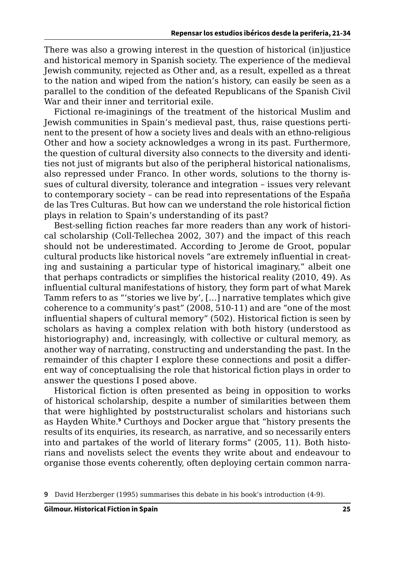There was also a growing interest in the question of historical (in)justice and historical memory in Spanish society. The experience of the medieval Jewish community, rejected as Other and, as a result, expelled as a threat to the nation and wiped from the nation's history, can easily be seen as a parallel to the condition of the defeated Republicans of the Spanish Civil War and their inner and territorial exile.

Fictional re-imaginings of the treatment of the historical Muslim and Jewish communities in Spain's medieval past, thus, raise questions pertinent to the present of how a society lives and deals with an ethno-religious Other and how a society acknowledges a wrong in its past. Furthermore, the question of cultural diversity also connects to the diversity and identities not just of migrants but also of the peripheral historical nationalisms, also repressed under Franco. In other words, solutions to the thorny issues of cultural diversity, tolerance and integration – issues very relevant to contemporary society – can be read into representations of the España de las Tres Culturas. But how can we understand the role historical fiction plays in relation to Spain's understanding of its past?

Best-selling fiction reaches far more readers than any work of historical scholarship (Coll-Tellechea 2002, 307) and the impact of this reach should not be underestimated. According to Jerome de Groot, popular cultural products like historical novels "are extremely influential in creating and sustaining a particular type of historical imaginary," albeit one that perhaps contradicts or simplifies the historical reality (2010, 49). As influential cultural manifestations of history, they form part of what Marek Tamm refers to as "'stories we live by', […] narrative templates which give coherence to a community's past" (2008, 510-11) and are "one of the most influential shapers of cultural memory" (502). Historical fiction is seen by scholars as having a complex relation with both history (understood as historiography) and, increasingly, with collective or cultural memory, as another way of narrating, constructing and understanding the past. In the remainder of this chapter I explore these connections and posit a different way of conceptualising the role that historical fiction plays in order to answer the questions I posed above.

Historical fiction is often presented as being in opposition to works of historical scholarship, despite a number of similarities between them that were highlighted by poststructuralist scholars and historians such as Hayden White.**<sup>9</sup>** Curthoys and Docker argue that "history presents the results of its enquiries, its research, as narrative, and so necessarily enters into and partakes of the world of literary forms" (2005, 11). Both historians and novelists select the events they write about and endeavour to organise those events coherently, often deploying certain common narra-

**<sup>9</sup>** David Herzberger (1995) summarises this debate in his book's introduction (4-9).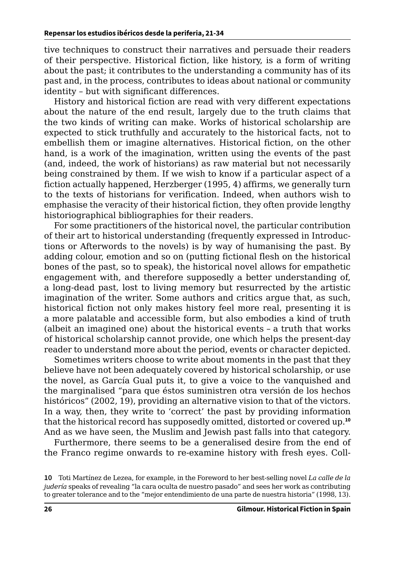tive techniques to construct their narratives and persuade their readers of their perspective. Historical fiction, like history, is a form of writing about the past; it contributes to the understanding a community has of its past and, in the process, contributes to ideas about national or community identity – but with significant differences.

History and historical fiction are read with very different expectations about the nature of the end result, largely due to the truth claims that the two kinds of writing can make. Works of historical scholarship are expected to stick truthfully and accurately to the historical facts, not to embellish them or imagine alternatives. Historical fiction, on the other hand, is a work of the imagination, written using the events of the past (and, indeed, the work of historians) as raw material but not necessarily being constrained by them. If we wish to know if a particular aspect of a fiction actually happened, Herzberger (1995, 4) affirms, we generally turn to the texts of historians for verification. Indeed, when authors wish to emphasise the veracity of their historical fiction, they often provide lengthy historiographical bibliographies for their readers.

For some practitioners of the historical novel, the particular contribution of their art to historical understanding (frequently expressed in Introductions or Afterwords to the novels) is by way of humanising the past. By adding colour, emotion and so on (putting fictional flesh on the historical bones of the past, so to speak), the historical novel allows for empathetic engagement with, and therefore supposedly a better understanding of, a long-dead past, lost to living memory but resurrected by the artistic imagination of the writer. Some authors and critics argue that, as such, historical fiction not only makes history feel more real, presenting it is a more palatable and accessible form, but also embodies a kind of truth (albeit an imagined one) about the historical events – a truth that works of historical scholarship cannot provide, one which helps the present-day reader to understand more about the period, events or character depicted.

Sometimes writers choose to write about moments in the past that they believe have not been adequately covered by historical scholarship, or use the novel, as García Gual puts it, to give a voice to the vanquished and the marginalised "para que éstos suministren otra versión de los hechos históricos" (2002, 19), providing an alternative vision to that of the victors. In a way, then, they write to 'correct' the past by providing information that the historical record has supposedly omitted, distorted or covered up.**<sup>10</sup>** And as we have seen, the Muslim and Jewish past falls into that category.

Furthermore, there seems to be a generalised desire from the end of the Franco regime onwards to re-examine history with fresh eyes. Coll-

**<sup>10</sup>** Toti Martínez de Lezea, for example, in the Foreword to her best-selling novel *La calle de la judería* speaks of revealing "la cara oculta de nuestro pasado" and sees her work as contributing to greater tolerance and to the "mejor entendimiento de una parte de nuestra historia" (1998, 13).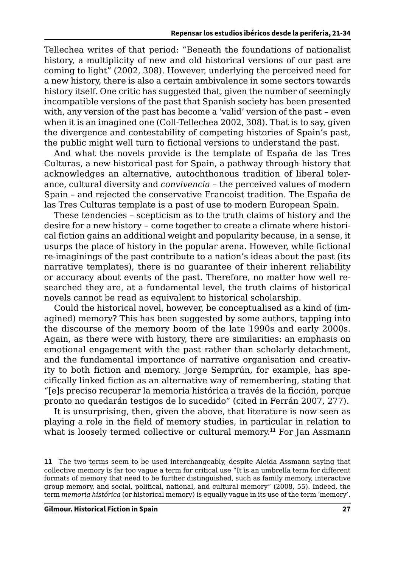Tellechea writes of that period: "Beneath the foundations of nationalist history, a multiplicity of new and old historical versions of our past are coming to light" (2002, 308). However, underlying the perceived need for a new history, there is also a certain ambivalence in some sectors towards history itself. One critic has suggested that, given the number of seemingly incompatible versions of the past that Spanish society has been presented with, any version of the past has become a 'valid' version of the past – even when it is an imagined one (Coll-Tellechea 2002, 308). That is to say, given the divergence and contestability of competing histories of Spain's past, the public might well turn to fictional versions to understand the past.

And what the novels provide is the template of España de las Tres Culturas, a new historical past for Spain, a pathway through history that acknowledges an alternative, autochthonous tradition of liberal tolerance, cultural diversity and *convivencia* – the perceived values of modern Spain – and rejected the conservative Francoist tradition. The España de las Tres Culturas template is a past of use to modern European Spain.

These tendencies – scepticism as to the truth claims of history and the desire for a new history – come together to create a climate where historical fiction gains an additional weight and popularity because, in a sense, it usurps the place of history in the popular arena. However, while fictional re-imaginings of the past contribute to a nation's ideas about the past (its narrative templates), there is no guarantee of their inherent reliability or accuracy about events of the past. Therefore, no matter how well researched they are, at a fundamental level, the truth claims of historical novels cannot be read as equivalent to historical scholarship.

Could the historical novel, however, be conceptualised as a kind of (imagined) memory? This has been suggested by some authors, tapping into the discourse of the memory boom of the late 1990s and early 2000s. Again, as there were with history, there are similarities: an emphasis on emotional engagement with the past rather than scholarly detachment, and the fundamental importance of narrative organisation and creativity to both fiction and memory. Jorge Semprún, for example, has specifically linked fiction as an alternative way of remembering, stating that "[e]s preciso recuperar la memoria histórica a través de la ficción, porque pronto no quedarán testigos de lo sucedido" (cited in Ferrán 2007, 277).

It is unsurprising, then, given the above, that literature is now seen as playing a role in the field of memory studies, in particular in relation to what is loosely termed collective or cultural memory.**<sup>11</sup>** For Jan Assmann

**<sup>11</sup>** The two terms seem to be used interchangeably, despite Aleida Assmann saying that collective memory is far too vague a term for critical use "It is an umbrella term for different formats of memory that need to be further distinguished, such as family memory, interactive group memory, and social, political, national, and cultural memory" (2008, 55). Indeed, the term *memoria histórica* (or historical memory) is equally vague in its use of the term 'memory'.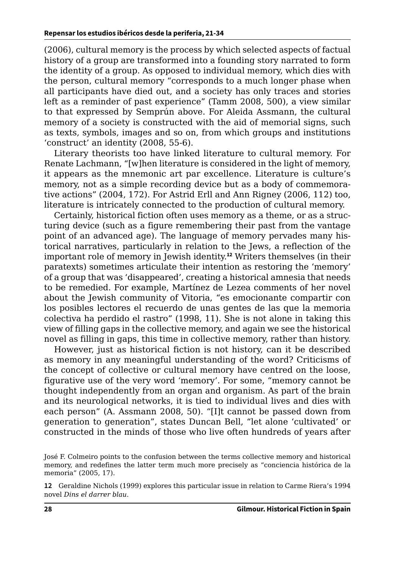(2006), cultural memory is the process by which selected aspects of factual history of a group are transformed into a founding story narrated to form the identity of a group. As opposed to individual memory, which dies with the person, cultural memory "corresponds to a much longer phase when all participants have died out, and a society has only traces and stories left as a reminder of past experience" (Tamm 2008, 500), a view similar to that expressed by Semprún above. For Aleida Assmann, the cultural memory of a society is constructed with the aid of memorial signs, such as texts, symbols, images and so on, from which groups and institutions 'construct' an identity (2008, 55-6).

Literary theorists too have linked literature to cultural memory. For Renate Lachmann, "[w]hen literature is considered in the light of memory, it appears as the mnemonic art par excellence. Literature is culture's memory, not as a simple recording device but as a body of commemorative actions" (2004, 172). For Astrid Erll and Ann Rigney (2006, 112) too, literature is intricately connected to the production of cultural memory.

Certainly, historical fiction often uses memory as a theme, or as a structuring device (such as a figure remembering their past from the vantage point of an advanced age). The language of memory pervades many historical narratives, particularly in relation to the Jews, a reflection of the important role of memory in Jewish identity.**<sup>12</sup>** Writers themselves (in their paratexts) sometimes articulate their intention as restoring the 'memory' of a group that was 'disappeared', creating a historical amnesia that needs to be remedied. For example, Martínez de Lezea comments of her novel about the Jewish community of Vitoria, "es emocionante compartir con los posibles lectores el recuerdo de unas gentes de las que la memoria colectiva ha perdido el rastro" (1998, 11). She is not alone in taking this view of filling gaps in the collective memory, and again we see the historical novel as filling in gaps, this time in collective memory, rather than history.

However, just as historical fiction is not history, can it be described as memory in any meaningful understanding of the word? Criticisms of the concept of collective or cultural memory have centred on the loose, figurative use of the very word 'memory'. For some, "memory cannot be thought independently from an organ and organism. As part of the brain and its neurological networks, it is tied to individual lives and dies with each person" (A. Assmann 2008, 50). "[I]t cannot be passed down from generation to generation", states Duncan Bell, "let alone 'cultivated' or constructed in the minds of those who live often hundreds of years after

José F. Colmeiro points to the confusion between the terms collective memory and historical memory, and redefines the latter term much more precisely as "conciencia histórica de la memoria" (2005, 17).

**<sup>12</sup>** Geraldine Nichols (1999) explores this particular issue in relation to Carme Riera's 1994 novel *Dins el darrer blau*.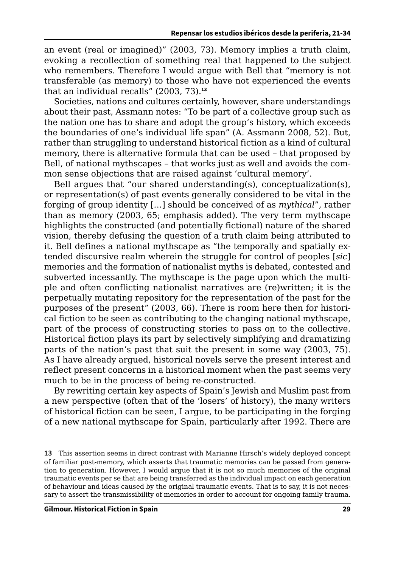an event (real or imagined)" (2003, 73). Memory implies a truth claim, evoking a recollection of something real that happened to the subject who remembers. Therefore I would argue with Bell that "memory is not transferable (as memory) to those who have not experienced the events that an individual recalls" (2003, 73).**<sup>13</sup>**

Societies, nations and cultures certainly, however, share understandings about their past, Assmann notes: "To be part of a collective group such as the nation one has to share and adopt the group's history, which exceeds the boundaries of one's individual life span" (A. Assmann 2008, 52). But, rather than struggling to understand historical fiction as a kind of cultural memory, there is alternative formula that can be used – that proposed by Bell, of national mythscapes – that works just as well and avoids the common sense objections that are raised against 'cultural memory'.

Bell argues that "our shared understanding(s), conceptualization(s), or representation(s) of past events generally considered to be vital in the forging of group identity […] should be conceived of as *mythical*", rather than as memory (2003, 65; emphasis added). The very term mythscape highlights the constructed (and potentially fictional) nature of the shared vision, thereby defusing the question of a truth claim being attributed to it. Bell defines a national mythscape as "the temporally and spatially extended discursive realm wherein the struggle for control of peoples [*sic*] memories and the formation of nationalist myths is debated, contested and subverted incessantly. The mythscape is the page upon which the multiple and often conflicting nationalist narratives are (re)written; it is the perpetually mutating repository for the representation of the past for the purposes of the present" (2003, 66). There is room here then for historical fiction to be seen as contributing to the changing national mythscape, part of the process of constructing stories to pass on to the collective. Historical fiction plays its part by selectively simplifying and dramatizing parts of the nation's past that suit the present in some way (2003, 75). As I have already argued, historical novels serve the present interest and reflect present concerns in a historical moment when the past seems very much to be in the process of being re-constructed.

By rewriting certain key aspects of Spain's Jewish and Muslim past from a new perspective (often that of the 'losers' of history), the many writers of historical fiction can be seen, I argue, to be participating in the forging of a new national mythscape for Spain, particularly after 1992. There are

**<sup>13</sup>** This assertion seems in direct contrast with Marianne Hirsch's widely deployed concept of familiar post-memory, which asserts that traumatic memories can be passed from generation to generation. However, I would argue that it is not so much memories of the original traumatic events per se that are being transferred as the individual impact on each generation of behaviour and ideas caused by the original traumatic events. That is to say, it is not necessary to assert the transmissibility of memories in order to account for ongoing family trauma.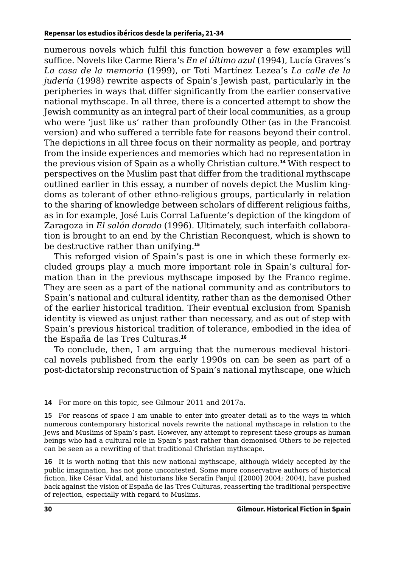numerous novels which fulfil this function however a few examples will suffice. Novels like Carme Riera's *En el último azul* (1994), Lucía Graves's *La casa de la memoria* (1999), or Toti Martínez Lezea's *La calle de la judería* (1998) rewrite aspects of Spain's Jewish past, particularly in the peripheries in ways that differ significantly from the earlier conservative national mythscape. In all three, there is a concerted attempt to show the Jewish community as an integral part of their local communities, as a group who were 'just like us' rather than profoundly Other (as in the Francoist version) and who suffered a terrible fate for reasons beyond their control. The depictions in all three focus on their normality as people, and portray from the inside experiences and memories which had no representation in the previous vision of Spain as a wholly Christian culture.**<sup>14</sup>** With respect to perspectives on the Muslim past that differ from the traditional mythscape outlined earlier in this essay, a number of novels depict the Muslim kingdoms as tolerant of other ethno-religious groups, particularly in relation to the sharing of knowledge between scholars of different religious faiths, as in for example, José Luis Corral Lafuente's depiction of the kingdom of Zaragoza in *El salón dorado* (1996). Ultimately, such interfaith collaboration is brought to an end by the Christian Reconquest, which is shown to be destructive rather than unifying.**<sup>15</sup>**

This reforged vision of Spain's past is one in which these formerly excluded groups play a much more important role in Spain's cultural formation than in the previous mythscape imposed by the Franco regime. They are seen as a part of the national community and as contributors to Spain's national and cultural identity, rather than as the demonised Other of the earlier historical tradition. Their eventual exclusion from Spanish identity is viewed as unjust rather than necessary, and as out of step with Spain's previous historical tradition of tolerance, embodied in the idea of the España de las Tres Culturas.**<sup>16</sup>**

To conclude, then, I am arguing that the numerous medieval historical novels published from the early 1990s on can be seen as part of a post-dictatorship reconstruction of Spain's national mythscape, one which

**14** For more on this topic, see Gilmour 2011 and 2017a.

**15** For reasons of space I am unable to enter into greater detail as to the ways in which numerous contemporary historical novels rewrite the national mythscape in relation to the Jews and Muslims of Spain's past. However, any attempt to represent these groups as human beings who had a cultural role in Spain's past rather than demonised Others to be rejected can be seen as a rewriting of that traditional Christian mythscape.

**16** It is worth noting that this new national mythscape, although widely accepted by the public imagination, has not gone uncontested. Some more conservative authors of historical fiction, like César Vidal, and historians like Serafín Fanjul ([2000] 2004; 2004), have pushed back against the vision of España de las Tres Culturas, reasserting the traditional perspective of rejection, especially with regard to Muslims.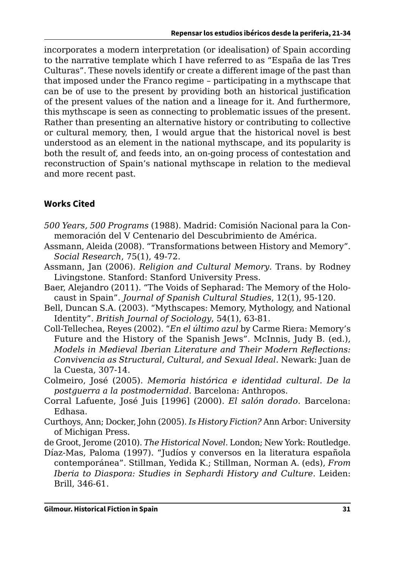incorporates a modern interpretation (or idealisation) of Spain according to the narrative template which I have referred to as "España de las Tres Culturas". These novels identify or create a different image of the past than that imposed under the Franco regime – participating in a mythscape that can be of use to the present by providing both an historical justification of the present values of the nation and a lineage for it. And furthermore, this mythscape is seen as connecting to problematic issues of the present. Rather than presenting an alternative history or contributing to collective or cultural memory, then, I would argue that the historical novel is best understood as an element in the national mythscape, and its popularity is both the result of, and feeds into, an on-going process of contestation and reconstruction of Spain's national mythscape in relation to the medieval and more recent past.

## **Works Cited**

- *500 Years, 500 Programs* (1988). Madrid: Comisión Nacional para la Conmemoración del V Centenario del Descubrimiento de América.
- Assmann, Aleida (2008). "Transformations between History and Memory". *Social Research*, 75(1), 49-72.
- Assmann, Jan (2006). *Religion and Cultural Memory*. Trans. by Rodney Livingstone. Stanford: Stanford University Press.
- Baer, Alejandro (2011). "The Voids of Sepharad: The Memory of the Holocaust in Spain". *Journal of Spanish Cultural Studies*, 12(1), 95-120.
- Bell, Duncan S.A. (2003). "Mythscapes: Memory, Mythology, and National Identity". *British Journal of Sociology*, 54(1), 63-81.
- Coll-Tellechea, Reyes (2002). "*En el último azul* by Carme Riera: Memory's Future and the History of the Spanish Jews". McInnis, Judy B. (ed.), *Models in Medieval Iberian Literature and Their Modern Reflections: Convivencia as Structural, Cultural, and Sexual Ideal*. Newark: Juan de la Cuesta, 307-14.
- Colmeiro, José (2005). *Memoria histórica e identidad cultural. De la postguerra a la postmodernidad*. Barcelona: Anthropos.
- Corral Lafuente, José Juis [1996] (2000). *El salón dorado*. Barcelona: Edhasa.
- Curthoys, Ann; Docker, John (2005). *Is History Fiction?* Ann Arbor: University of Michigan Press.
- de Groot, Jerome (2010). *The Historical Novel*. London; New York: Routledge.
- Díaz-Mas, Paloma (1997). "Judíos y conversos en la literatura española contemporánea". Stillman, Yedida K.; Stillman, Norman A. (eds), *From Iberia to Diaspora: Studies in Sephardi History and Culture*. Leiden: Brill, 346-61.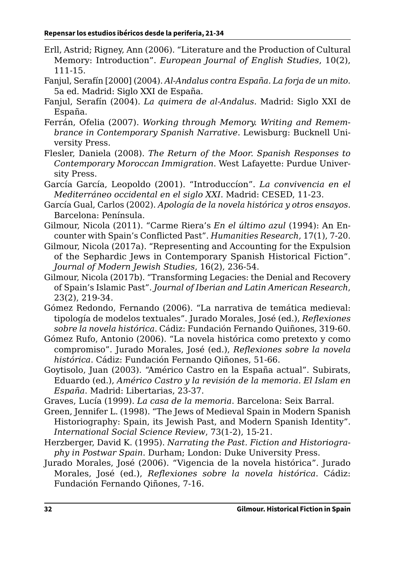- Erll, Astrid; Rigney, Ann (2006). "Literature and the Production of Cultural Memory: Introduction". *European Journal of English Studies*, 10(2), 111-15.
- Fanjul, Serafín [2000] (2004). *Al-Andalus contra España. La forja de un mito*. 5a ed. Madrid: Siglo XXI de España.
- Fanjul, Serafín (2004). *La quimera de al-Andalus*. Madrid: Siglo XXI de España.
- Ferrán, Ofelia (2007). *Working through Memory. Writing and Remembrance in Contemporary Spanish Narrative*. Lewisburg: Bucknell University Press.
- Flesler, Daniela (2008). *The Return of the Moor. Spanish Responses to Contemporary Moroccan Immigration*. West Lafayette: Purdue University Press.
- García García, Leopoldo (2001). "Introduccíon". *La convivencia en el Mediterráneo occidental en el siglo XXI*. Madrid: CESED, 11-23.
- García Gual, Carlos (2002). *Apología de la novela histórica y otros ensayos*. Barcelona: Península.
- Gilmour, Nicola (2011). "Carme Riera's *En el último azul* (1994): An Encounter with Spain's Conflicted Past". *Humanities Research*, 17(1), 7-20.
- Gilmour, Nicola (2017a). "Representing and Accounting for the Expulsion of the Sephardic Jews in Contemporary Spanish Historical Fiction". *Journal of Modern Jewish Studies*, 16(2), 236-54.
- Gilmour, Nicola (2017b). "Transforming Legacies: the Denial and Recovery of Spain's Islamic Past". *Journal of Iberian and Latin American Research*, 23(2), 219-34.
- Gómez Redondo, Fernando (2006). "La narrativa de temática medieval: tipología de modelos textuales". Jurado Morales, José (ed.), *Reflexiones sobre la novela histórica*. Cádiz: Fundación Fernando Quiñones, 319-60.
- Gómez Rufo, Antonio (2006). "La novela histórica como pretexto y como compromiso". Jurado Morales, José (ed.), *Reflexiones sobre la novela histórica*. Cádiz: Fundación Fernando Qiñones, 51-66.
- Goytisolo, Juan (2003). "Américo Castro en la España actual". Subirats, Eduardo (ed.), *Américo Castro y la revisión de la memoria. El Islam en España*. Madrid: Libertarias, 23-37.
- Graves, Lucía (1999). *La casa de la memoria*. Barcelona: Seix Barral.
- Green, Jennifer L. (1998). "The Jews of Medieval Spain in Modern Spanish Historiography: Spain, its Jewish Past, and Modern Spanish Identity". *International Social Science Review*, 73(1-2), 15-21.
- Herzberger, David K. (1995). *Narrating the Past. Fiction and Historiography in Postwar Spain*. Durham; London: Duke University Press.
- Jurado Morales, José (2006). "Vigencia de la novela histórica". Jurado Morales, José (ed.), *Reflexiones sobre la novela histórica*. Cádiz: Fundación Fernando Qiñones, 7-16.